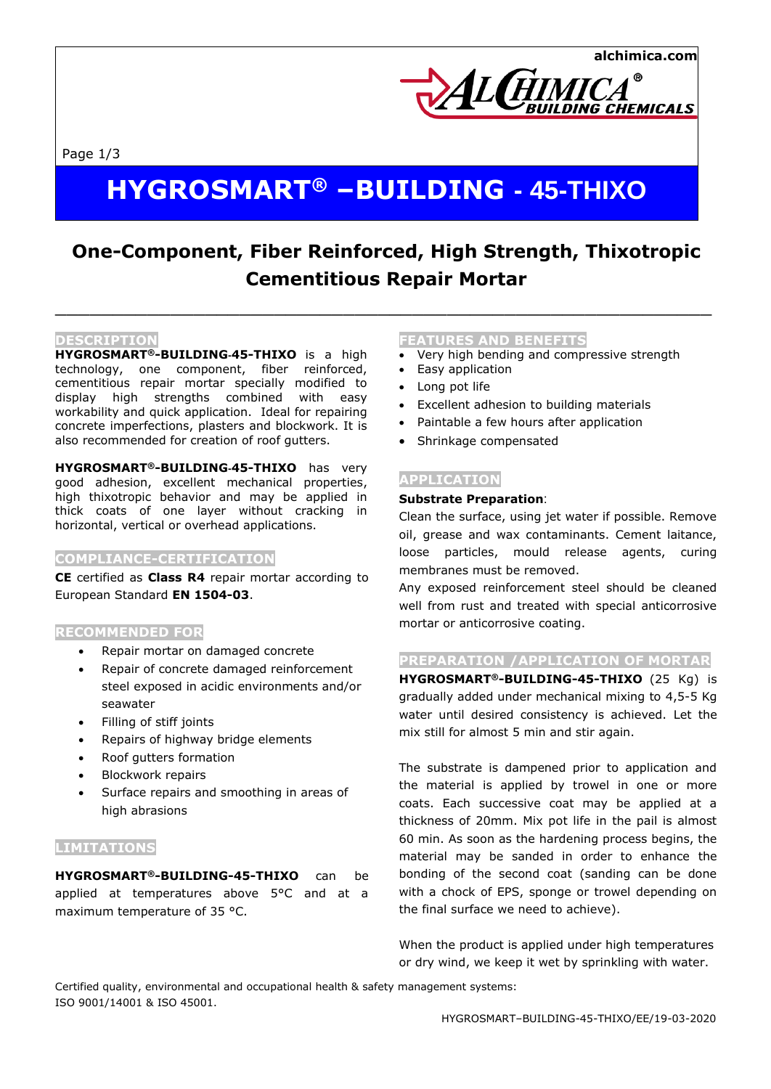DING CHEMICALS

Page 1/3

# **HYGROSMART® –BUILDING - 45-THIXO**

# **One-Component, Fiber Reinforced, High Strength, Thixotropic Cementitious Repair Mortar**

 $\_$  , and the set of the set of the set of the set of the set of the set of the set of the set of the set of the set of the set of the set of the set of the set of the set of the set of the set of the set of the set of th

#### **DESCRIPTION**

**HYGROSMART®-BUILDING-45-THIXO** is a high technology, one component, fiber reinforced, cementitious repair mortar specially modified to display high strengths combined with easy workability and quick application. Ideal for repairing concrete imperfections, plasters and blockwork. It is also recommended for creation of roof gutters.

**HYGROSMART®-BUILDING-45-THIXO** has very good adhesion, excellent mechanical properties, high thixotropic behavior and may be applied in thick coats of one layer without cracking in horizontal, vertical or overhead applications.

#### **COMPLIANCE-CERTIFICATION**

**CE** certified as **Class R4** repair mortar according to European Standard **EN 1504-03**.

#### **RECOMMENDED FOR**

- Repair mortar on damaged concrete
- Repair of concrete damaged reinforcement steel exposed in acidic environments and/or seawater
- Filling of stiff joints
- Repairs of highway bridge elements
- Roof gutters formation
- Blockwork repairs
- Surface repairs and smoothing in areas of high abrasions

### **LIMITATIONS**

**HYGROSMART®-BUILDING-45-THIXO** can be applied at temperatures above 5°C and at a maximum temperature of 35 °C.

#### **FEATURES AND BENEFITS**

- Very high bending and compressive strength
- Easy application
- Long pot life
- Excellent adhesion to building materials

**ALGIMIC** 

- Paintable a few hours after application
- Shrinkage compensated

#### **APPLICATION**

#### **Substrate Preparation**:

Clean the surface, using jet water if possible. Remove oil, grease and wax contaminants. Cement laitance, loose particles, mould release agents, curing membranes must be removed.

Any exposed reinforcement steel should be cleaned well from rust and treated with special anticorrosive mortar or anticorrosive coating.

#### **PREPARATION /APPLICATION OF MORTAR**

**HYGROSMART®-BUILDING-45-THIXO** (25 Kg) is gradually added under mechanical mixing to 4,5-5 Kg water until desired consistency is achieved. Let the mix still for almost 5 min and stir again.

The substrate is dampened prior to application and the material is applied by trowel in one or more coats. Each successive coat may be applied at a thickness of 20mm. Mix pot life in the pail is almost 60 min. As soon as the hardening process begins, the material may be sanded in order to enhance the bonding of the second coat (sanding can be done with a chock of EPS, sponge or trowel depending on the final surface we need to achieve).

When the product is applied under high temperatures or dry wind, we keep it wet by sprinkling with water.

Certified quality, environmental and occupational health & safety management systems: ISO 9001/14001 & ISO 45001.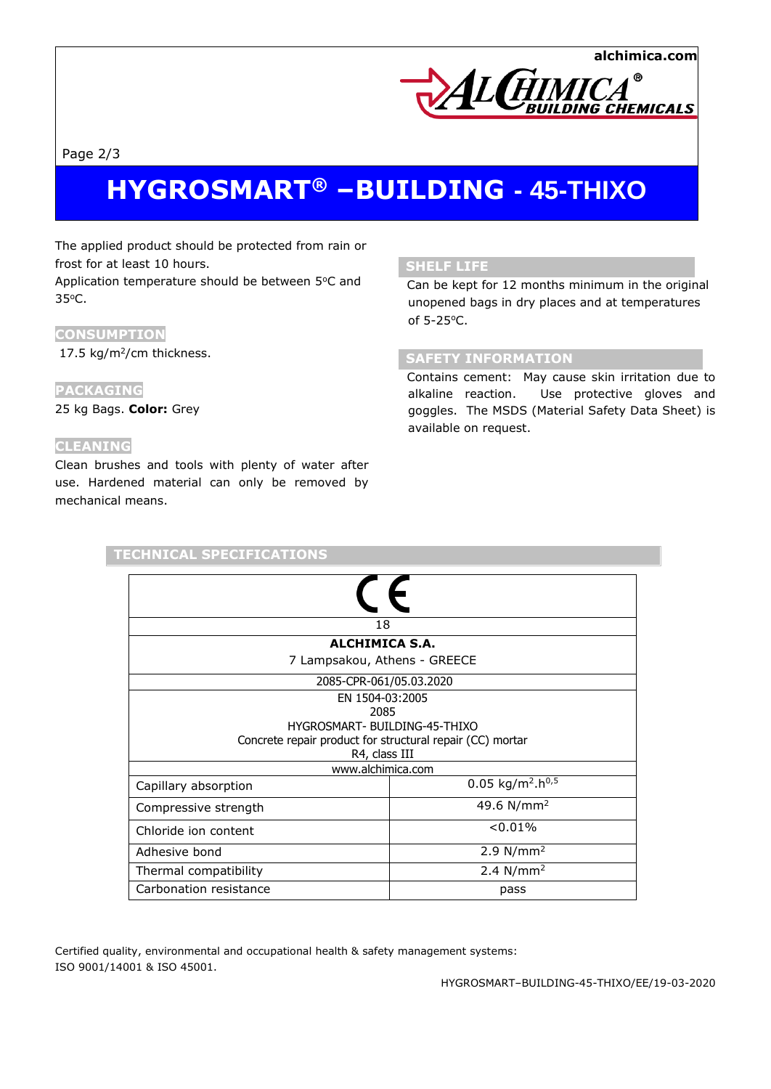

Page 2/3

# **HYGROSMART® –BUILDING - 45-THIXO**

The applied product should be protected from rain or frost for at least 10 hours.

Application temperature should be between 5°C and 35<sup>o</sup>C.

## **CONSUMPTION**

17.5 kg/m<sup>2</sup>/cm thickness.

# **PACKAGING**

25 kg Bags. **Color:** Grey

### **CLEANING**

Clean brushes and tools with plenty of water after use. Hardened material can only be removed by mechanical means.

**TECHNICAL SPECIFICATIONS**

# **SHELF LIFE**

 Can be kept for 12 months minimum in the original unopened bags in dry places and at temperatures of 5-25<sup>o</sup>C.

# **SAFETY INFORMATION**

 Contains cement: May cause skin irritation due to alkaline reaction. Use protective gloves and goggles. The MSDS (Material Safety Data Sheet) is available on request.

| <b>ALCHIMICA S.A.</b> |
|-----------------------|

| 7 Lampsakou, Athens - GREECE                              |                                          |  |
|-----------------------------------------------------------|------------------------------------------|--|
| 2085-CPR-061/05.03.2020                                   |                                          |  |
| EN 1504-03:2005                                           |                                          |  |
| 2085                                                      |                                          |  |
| HYGROSMART- BUILDING-45-THIXO                             |                                          |  |
| Concrete repair product for structural repair (CC) mortar |                                          |  |
| R4, class III                                             |                                          |  |
| www.alchimica.com                                         |                                          |  |
| Capillary absorption                                      | 0.05 kg/m <sup>2</sup> .h <sup>0,5</sup> |  |
| Compressive strength                                      | 49.6 $N/mm^2$                            |  |
| Chloride ion content                                      | < 0.01%                                  |  |
| Adhesive bond                                             | 2.9 $N/mm^2$                             |  |
| Thermal compatibility                                     | 2.4 $N/mm^2$                             |  |
| Carbonation resistance                                    | pass                                     |  |

Certified quality, environmental and occupational health & safety management systems: ISO 9001/14001 & ISO 45001.